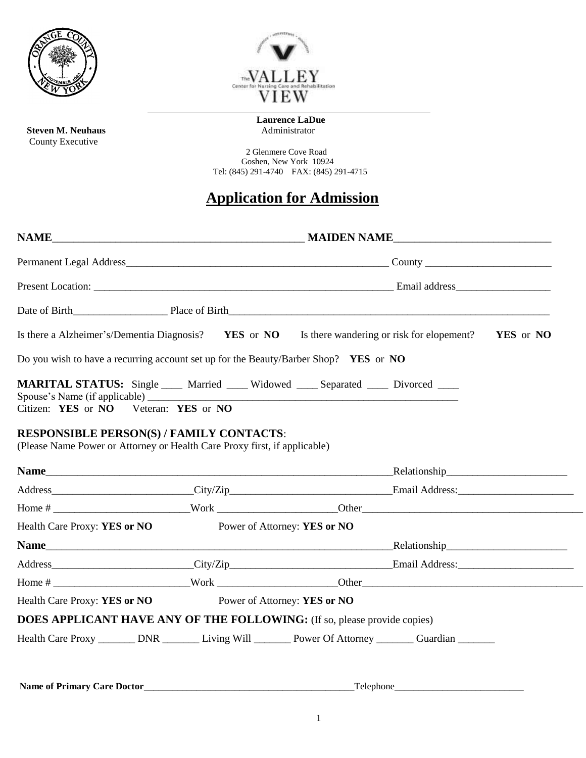

**Steven M. Neuhaus** County Executive



 **Laurence LaDue**

2 Glenmere Cove Road Goshen, New York 10924 Tel: (845) 291-4740 FAX: (845) 291-4715

## **Application for Admission**

|                                                                                                                                                                       |  | Is there a Alzheimer's/Dementia Diagnosis? YES or NO Is there wandering or risk for elopement? | YES or NO |  |  |  |  |  |
|-----------------------------------------------------------------------------------------------------------------------------------------------------------------------|--|------------------------------------------------------------------------------------------------|-----------|--|--|--|--|--|
| Do you wish to have a recurring account set up for the Beauty/Barber Shop? YES or NO                                                                                  |  |                                                                                                |           |  |  |  |  |  |
|                                                                                                                                                                       |  | MARITAL STATUS: Single ___ Married ___ Widowed ___ Separated ___ Divorced ___                  |           |  |  |  |  |  |
|                                                                                                                                                                       |  |                                                                                                |           |  |  |  |  |  |
|                                                                                                                                                                       |  |                                                                                                |           |  |  |  |  |  |
|                                                                                                                                                                       |  |                                                                                                |           |  |  |  |  |  |
|                                                                                                                                                                       |  |                                                                                                |           |  |  |  |  |  |
| Citizen: YES or NO Veteran: YES or NO<br><b>RESPONSIBLE PERSON(S) / FAMILY CONTACTS:</b><br>(Please Name Power or Attorney or Health Care Proxy first, if applicable) |  |                                                                                                |           |  |  |  |  |  |
| Health Care Proxy: YES or NO                                                                                                                                          |  | Power of Attorney: YES or NO                                                                   |           |  |  |  |  |  |
|                                                                                                                                                                       |  |                                                                                                |           |  |  |  |  |  |
|                                                                                                                                                                       |  |                                                                                                |           |  |  |  |  |  |
|                                                                                                                                                                       |  |                                                                                                |           |  |  |  |  |  |
| Health Care Proxy: YES or NO                                                                                                                                          |  | Power of Attorney: YES or NO                                                                   |           |  |  |  |  |  |
|                                                                                                                                                                       |  | <b>DOES APPLICANT HAVE ANY OF THE FOLLOWING:</b> (If so, please provide copies)                |           |  |  |  |  |  |

**Name of Primary Care Doctor**\_\_\_\_\_\_\_\_\_\_\_\_\_\_\_\_\_\_\_\_\_\_\_\_\_\_\_\_\_\_\_\_\_\_\_\_\_\_\_\_\_\_\_\_Telephone\_\_\_\_\_\_\_\_\_\_\_\_\_\_\_\_\_\_\_\_\_\_\_\_\_\_\_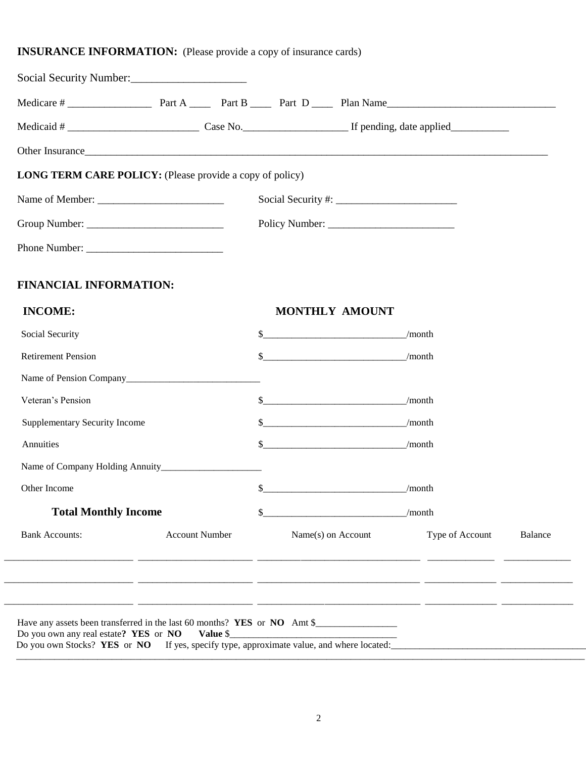## **INSURANCE INFORMATION:** (Please provide a copy of insurance cards)

| <b>LONG TERM CARE POLICY:</b> (Please provide a copy of policy) |                       |                                    |                                    |                 |         |
|-----------------------------------------------------------------|-----------------------|------------------------------------|------------------------------------|-----------------|---------|
|                                                                 |                       |                                    |                                    |                 |         |
|                                                                 |                       |                                    |                                    |                 |         |
|                                                                 |                       |                                    |                                    |                 |         |
| <b>FINANCIAL INFORMATION:</b>                                   |                       |                                    |                                    |                 |         |
| <b>INCOME:</b>                                                  |                       | <b>MONTHLY AMOUNT</b>              |                                    |                 |         |
| Social Security                                                 |                       |                                    | $\frac{\text{S}}{\text{month}}$    |                 |         |
| <b>Retirement Pension</b>                                       |                       |                                    | $\frac{\sqrt{2}}{2}$ month         |                 |         |
|                                                                 |                       |                                    |                                    |                 |         |
| Veteran's Pension                                               |                       |                                    | $\frac{\sqrt{2}}{2}$ month         |                 |         |
| <b>Supplementary Security Income</b>                            |                       | $\frac{\text{S}}{\text{1}}$ /month |                                    |                 |         |
| Annuities                                                       |                       |                                    | $\frac{\text{S}}{\text{2}}$ /month |                 |         |
|                                                                 |                       |                                    |                                    |                 |         |
| Other Income                                                    |                       |                                    | $\sim$ /month                      |                 |         |
| <b>Total Monthly Income</b>                                     |                       | /month                             |                                    |                 |         |
| <b>Bank Accounts:</b>                                           | <b>Account Number</b> | Name(s) on Account                 |                                    | Type of Account | Balance |
|                                                                 |                       |                                    |                                    |                 |         |
|                                                                 |                       |                                    |                                    |                 |         |
|                                                                 |                       |                                    |                                    |                 |         |

\_\_\_\_\_\_\_\_\_\_\_\_\_\_\_\_\_\_\_\_\_\_\_\_\_\_\_\_\_\_\_\_\_\_\_\_\_\_\_\_\_\_\_\_\_\_\_\_\_\_\_\_\_\_\_\_\_\_\_\_\_\_\_\_\_\_\_\_\_\_\_\_\_\_\_\_\_\_\_\_\_\_\_\_\_\_\_\_\_\_\_\_\_\_\_\_\_\_\_\_\_\_\_\_\_\_\_\_\_\_\_\_\_\_\_\_\_\_\_